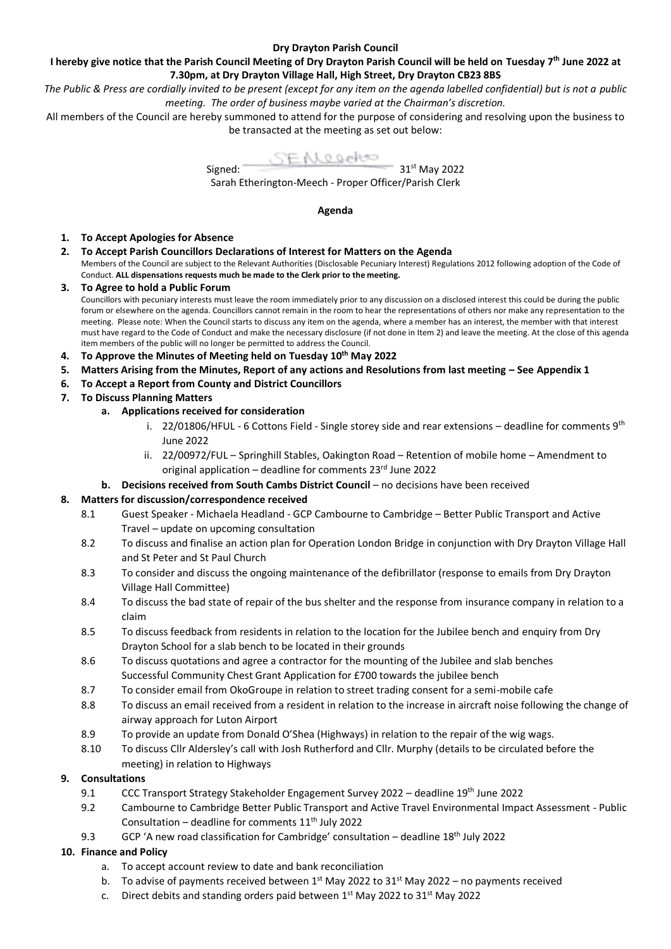## **Dry Drayton Parish Council**

**I hereby give notice that the Parish Council Meeting of Dry Drayton Parish Council will be held on Tuesday 7 th June 2022 at 7.30pm, at Dry Drayton Village Hall, High Street, Dry Drayton CB23 8BS** 

*The Public & Press are cordially invited to be present (except for any item on the agenda labelled confidential) but is not a public meeting. The order of business maybe varied at the Chairman's discretion.*

All members of the Council are hereby summoned to attend for the purpose of considering and resolving upon the business to be transacted at the meeting as set out below:



Sarah Etherington-Meech - Proper Officer/Parish Clerk

#### **Agenda**

- **1. To Accept Apologies for Absence**
- **2. To Accept Parish Councillors Declarations of Interest for Matters on the Agenda** Members of the Council are subject to the Relevant Authorities (Disclosable Pecuniary Interest) Regulations 2012 following adoption of the Code of Conduct. **ALL dispensations requests much be made to the Clerk prior to the meeting.**
- **3. To Agree to hold a Public Forum** Councillors with pecuniary interests must leave the room immediately prior to any discussion on a disclosed interest this could be during the public forum or elsewhere on the agenda. Councillors cannot remain in the room to hear the representations of others nor make any representation to the meeting. Please note: When the Council starts to discuss any item on the agenda, where a member has an interest, the member with that interest must have regard to the Code of Conduct and make the necessary disclosure (if not done in Item 2) and leave the meeting. At the close of this agenda item members of the public will no longer be permitted to address the Council.
- **4. To Approve the Minutes of Meeting held on Tuesday 10th May 2022**
- **5. Matters Arising from the Minutes, Report of any actions and Resolutions from last meeting – See Appendix 1**
- **6. To Accept a Report from County and District Councillors**
- **7. To Discuss Planning Matters**
	- **a. Applications received for consideration**
		- i. 22/01806/HFUL 6 Cottons Field Single storey side and rear extensions deadline for comments  $9^{th}$ June 2022
		- ii. 22/00972/FUL Springhill Stables, Oakington Road Retention of mobile home Amendment to original application – deadline for comments  $23^{rd}$  June 2022
		- **b. Decisions received from South Cambs District Council** no decisions have been received

### **8. Matters for discussion/correspondence received**

- 8.1 Guest Speaker Michaela Headland GCP Cambourne to Cambridge Better Public Transport and Active Travel – update on upcoming consultation
- 8.2 To discuss and finalise an action plan for Operation London Bridge in conjunction with Dry Drayton Village Hall and St Peter and St Paul Church
- 8.3 To consider and discuss the ongoing maintenance of the defibrillator (response to emails from Dry Drayton Village Hall Committee)
- 8.4 To discuss the bad state of repair of the bus shelter and the response from insurance company in relation to a claim
- 8.5 To discuss feedback from residents in relation to the location for the Jubilee bench and enquiry from Dry Drayton School for a slab bench to be located in their grounds
- 8.6 To discuss quotations and agree a contractor for the mounting of the Jubilee and slab benches Successful Community Chest Grant Application for £700 towards the jubilee bench
- 8.7 To consider email from OkoGroupe in relation to street trading consent for a semi-mobile cafe
- 8.8 To discuss an email received from a resident in relation to the increase in aircraft noise following the change of airway approach for Luton Airport
- 8.9 To provide an update from Donald O'Shea (Highways) in relation to the repair of the wig wags.
- 8.10 To discuss Cllr Aldersley's call with Josh Rutherford and Cllr. Murphy (details to be circulated before the meeting) in relation to Highways

# **9. Consultations**

- 9.1 CCC Transport Strategy Stakeholder Engagement Survey 2022 deadline 19th June 2022
- 9.2 Cambourne to Cambridge Better Public Transport and Active Travel Environmental Impact Assessment Public Consultation – deadline for comments  $11<sup>th</sup>$  July 2022
- 9.3 GCP 'A new road classification for Cambridge' consultation deadline 18<sup>th</sup> July 2022

# **10. Finance and Policy**

- a. To accept account review to date and bank reconciliation
- b. To advise of payments received between  $1<sup>st</sup>$  May 2022 to 31<sup>st</sup> May 2022 no payments received
- c. Direct debits and standing orders paid between 1<sup>st</sup> May 2022 to 31<sup>st</sup> May 2022